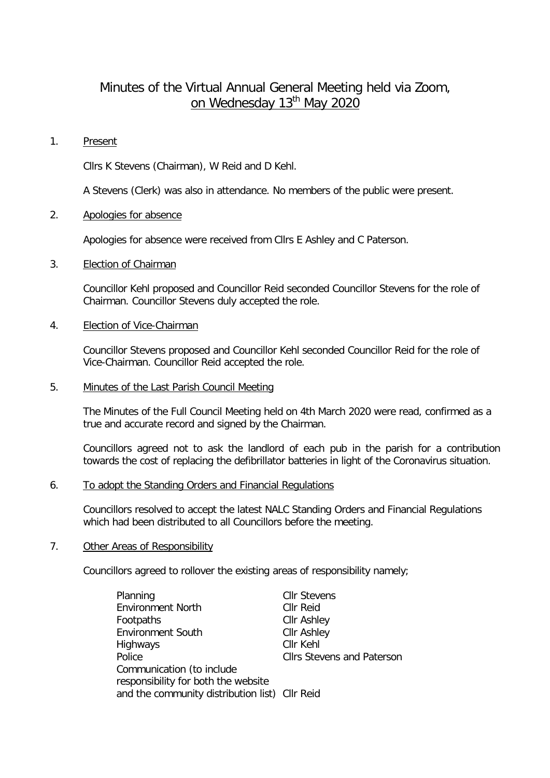# Minutes of the Virtual Annual General Meeting held via Zoom, on Wednesday 13<sup>th</sup> May 2020

#### 1. Present

Cllrs K Stevens (Chairman), W Reid and D Kehl.

A Stevens (Clerk) was also in attendance. No members of the public were present.

## 2. Apologies for absence

Apologies for absence were received from Cllrs E Ashley and C Paterson.

# 3. Election of Chairman

Councillor Kehl proposed and Councillor Reid seconded Councillor Stevens for the role of Chairman. Councillor Stevens duly accepted the role.

# 4. Election of Vice-Chairman

Councillor Stevens proposed and Councillor Kehl seconded Councillor Reid for the role of Vice-Chairman. Councillor Reid accepted the role.

#### 5. Minutes of the Last Parish Council Meeting

The Minutes of the Full Council Meeting held on 4th March 2020 were read, confirmed as a true and accurate record and signed by the Chairman.

Councillors agreed not to ask the landlord of each pub in the parish for a contribution towards the cost of replacing the defibrillator batteries in light of the Coronavirus situation.

#### 6. To adopt the Standing Orders and Financial Regulations

Councillors resolved to accept the latest NALC Standing Orders and Financial Regulations which had been distributed to all Councillors before the meeting.

#### 7. Other Areas of Responsibility

Councillors agreed to rollover the existing areas of responsibility namely;

| Planning                                       | <b>Cllr Stevens</b>               |
|------------------------------------------------|-----------------------------------|
| <b>Environment North</b>                       | <b>CIIr Reid</b>                  |
| Footpaths                                      | <b>Cllr Ashley</b>                |
| <b>Environment South</b>                       | <b>Cllr Ashley</b>                |
| Highways                                       | Cllr Kehl                         |
| Police                                         | <b>Cllrs Stevens and Paterson</b> |
| Communication (to include                      |                                   |
| responsibility for both the website            |                                   |
| and the community distribution list) Cllr Reid |                                   |
|                                                |                                   |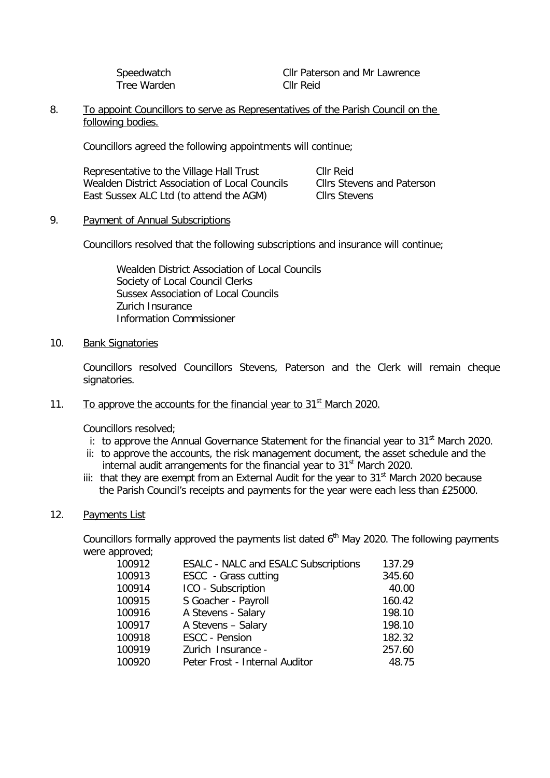Tree Warden Cllr Reid

Speedwatch Cllr Paterson and Mr Lawrence

## 8. To appoint Councillors to serve as Representatives of the Parish Council on the following bodies.

Councillors agreed the following appointments will continue;

| Representative to the Village Hall Trust       | Cllr Reid                         |
|------------------------------------------------|-----------------------------------|
| Wealden District Association of Local Councils | <b>Clirs Stevens and Paterson</b> |
| East Sussex ALC Ltd (to attend the AGM)        | Cllrs Stevens                     |

## 9. Payment of Annual Subscriptions

Councillors resolved that the following subscriptions and insurance will continue;

Wealden District Association of Local Councils Society of Local Council Clerks Sussex Association of Local Councils Zurich Insurance Information Commissioner

## 10. Bank Signatories

Councillors resolved Councillors Stevens, Paterson and the Clerk will remain cheque signatories.

# 11. To approve the accounts for the financial year to  $31<sup>st</sup>$  March 2020.

Councillors resolved;

- i: to approve the Annual Governance Statement for the financial year to  $31<sup>st</sup>$  March 2020.
- ii: to approve the accounts, the risk management document, the asset schedule and the internal audit arrangements for the financial year to 31<sup>st</sup> March 2020.
- iii: that they are exempt from an External Audit for the year to  $31<sup>st</sup>$  March 2020 because the Parish Council's receipts and payments for the year were each less than £25000.

## 12. Payments List

Councillors formally approved the payments list dated  $6<sup>th</sup>$  May 2020. The following payments were approved;

| 100912 | <b>ESALC - NALC and ESALC Subscriptions</b> | 137.29 |
|--------|---------------------------------------------|--------|
| 100913 | ESCC - Grass cutting                        | 345.60 |
| 100914 | ICO - Subscription                          | 40.00  |
| 100915 | S Goacher - Payroll                         | 160.42 |
| 100916 | A Stevens - Salary                          | 198.10 |
| 100917 | A Stevens - Salary                          | 198.10 |
| 100918 | ESCC - Pension                              | 182.32 |
| 100919 | Zurich Insurance -                          | 257.60 |
| 100920 | Peter Frost - Internal Auditor              | 48.75  |